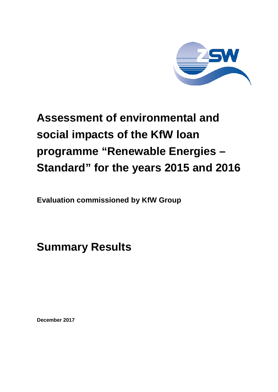

# **Assessment of environmental and social impacts of the KfW loan programme "Renewable Energies – Standard" for the years 2015 and 2016**

**Evaluation commissioned by KfW Group**

**Summary Results**

**December 2017**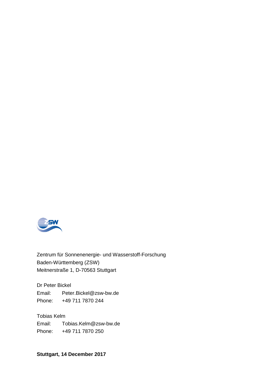

Zentrum für Sonnenenergie- und Wasserstoff-Forschung Baden-Württemberg (ZSW) Meitnerstraße 1, D-70563 Stuttgart

Dr Peter Bickel Email: Peter.Bickel@zsw-bw.de Phone: +49 711 7870 244

Tobias Kelm Email: Tobias.Kelm@zsw-bw.de Phone: +49 711 7870 250

**Stuttgart, 14 December 2017**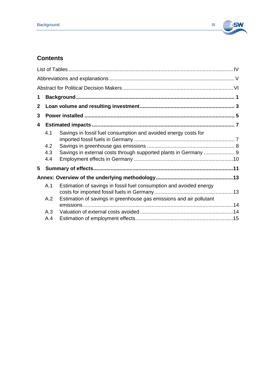

# **Contents**

| 1            |            |                                                                     |  |
|--------------|------------|---------------------------------------------------------------------|--|
| $\mathbf{2}$ |            |                                                                     |  |
| 3            |            |                                                                     |  |
| 4            |            |                                                                     |  |
|              | 4.1<br>4.2 | Savings in fossil fuel consumption and avoided energy costs for     |  |
|              | 4.3<br>4.4 | Savings in external costs through supported plants in Germany  9    |  |
| 5            |            |                                                                     |  |
|              |            |                                                                     |  |
|              | A.1        | Estimation of savings in fossil fuel consumption and avoided energy |  |
|              | A.2        | Estimation of savings in greenhouse gas emissions and air pollutant |  |
|              | A.3        |                                                                     |  |
|              | A.4        |                                                                     |  |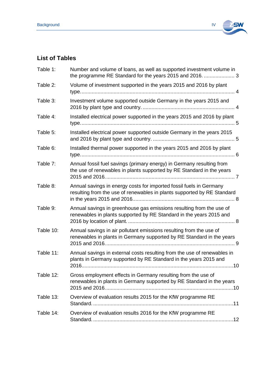

# <span id="page-3-0"></span>**List of Tables**

| Table 1:  | Number and volume of loans, as well as supported investment volume in<br>the programme RE Standard for the years 2015 and 2016.  3             |
|-----------|------------------------------------------------------------------------------------------------------------------------------------------------|
| Table 2:  | Volume of investment supported in the years 2015 and 2016 by plant                                                                             |
| Table 3:  | Investment volume supported outside Germany in the years 2015 and                                                                              |
| Table 4:  | Installed electrical power supported in the years 2015 and 2016 by plant                                                                       |
| Table 5:  | Installed electrical power supported outside Germany in the years 2015                                                                         |
| Table 6:  | Installed thermal power supported in the years 2015 and 2016 by plant                                                                          |
| Table 7:  | Annual fossil fuel savings (primary energy) in Germany resulting from<br>the use of renewables in plants supported by RE Standard in the years |
| Table 8:  | Annual savings in energy costs for imported fossil fuels in Germany<br>resulting from the use of renewables in plants supported by RE Standard |
| Table 9:  | Annual savings in greenhouse gas emissions resulting from the use of<br>renewables in plants supported by RE Standard in the years 2015 and    |
| Table 10: | Annual savings in air pollutant emissions resulting from the use of<br>renewables in plants in Germany supported by RE Standard in the years   |
| Table 11: | Annual savings in external costs resulting from the use of renewables in<br>plants in Germany supported by RE Standard in the years 2015 and   |
| Table 12: | Gross employment effects in Germany resulting from the use of<br>renewables in plants in Germany supported by RE Standard in the years         |
| Table 13: | Overview of evaluation results 2015 for the KfW programme RE                                                                                   |
| Table 14: | Overview of evaluation results 2016 for the KfW programme RE                                                                                   |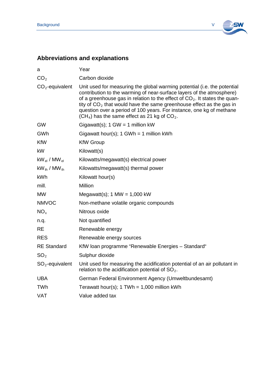

# <span id="page-4-0"></span>**Abbreviations and explanations**

| а                      | Year                                                                                                                                                                                                                                                                                                                                                                                                                                   |
|------------------------|----------------------------------------------------------------------------------------------------------------------------------------------------------------------------------------------------------------------------------------------------------------------------------------------------------------------------------------------------------------------------------------------------------------------------------------|
| CO <sub>2</sub>        | Carbon dioxide                                                                                                                                                                                                                                                                                                                                                                                                                         |
| $CO2$ -equivalent      | Unit used for measuring the global warming potential (i.e. the potential<br>contribution to the warming of near-surface layers of the atmosphere)<br>of a greenhouse gas in relation to the effect of $CO2$ . It states the quan-<br>tity of $CO2$ that would have the same greenhouse effect as the gas in<br>question over a period of 100 years. For instance, one kg of methane<br>$(CH4)$ has the same effect as 21 kg of $CO2$ . |
| <b>GW</b>              | Gigawatt(s); $1$ GW = 1 million kW                                                                                                                                                                                                                                                                                                                                                                                                     |
| <b>GWh</b>             | Gigawatt hour(s); $1$ GWh = 1 million kWh                                                                                                                                                                                                                                                                                                                                                                                              |
| <b>KfW</b>             | <b>KfW Group</b>                                                                                                                                                                                                                                                                                                                                                                                                                       |
| kW                     | Kilowatt(s)                                                                                                                                                                                                                                                                                                                                                                                                                            |
| $kW_{el}$ / MW $_{el}$ | Kilowatts/megawatt(s) electrical power                                                                                                                                                                                                                                                                                                                                                                                                 |
| $kW_{th}$ / MW $_{th}$ | Kilowatts/megawatt(s) thermal power                                                                                                                                                                                                                                                                                                                                                                                                    |
| <b>kWh</b>             | Kilowatt hour(s)                                                                                                                                                                                                                                                                                                                                                                                                                       |
| mill.                  | Million                                                                                                                                                                                                                                                                                                                                                                                                                                |
| <b>MW</b>              | Megawatt(s); $1 \text{ MW} = 1,000 \text{ kW}$                                                                                                                                                                                                                                                                                                                                                                                         |
| <b>NMVOC</b>           | Non-methane volatile organic compounds                                                                                                                                                                                                                                                                                                                                                                                                 |
| NO <sub>x</sub>        | Nitrous oxide                                                                                                                                                                                                                                                                                                                                                                                                                          |
| n.q.                   | Not quantified                                                                                                                                                                                                                                                                                                                                                                                                                         |
| <b>RE</b>              | Renewable energy                                                                                                                                                                                                                                                                                                                                                                                                                       |
| <b>RES</b>             | Renewable energy sources                                                                                                                                                                                                                                                                                                                                                                                                               |
| <b>RE</b> Standard     | KfW loan programme "Renewable Energies - Standard"                                                                                                                                                                                                                                                                                                                                                                                     |
| SO <sub>2</sub>        | Sulphur dioxide                                                                                                                                                                                                                                                                                                                                                                                                                        |
| $SO2$ -equivalent      | Unit used for measuring the acidification potential of an air pollutant in<br>relation to the acidification potential of $SO_2$ .                                                                                                                                                                                                                                                                                                      |
| <b>UBA</b>             | German Federal Environment Agency (Umweltbundesamt)                                                                                                                                                                                                                                                                                                                                                                                    |
| <b>TWh</b>             | Terawatt hour(s); $1$ TWh = 1,000 million kWh                                                                                                                                                                                                                                                                                                                                                                                          |
| <b>VAT</b>             | Value added tax                                                                                                                                                                                                                                                                                                                                                                                                                        |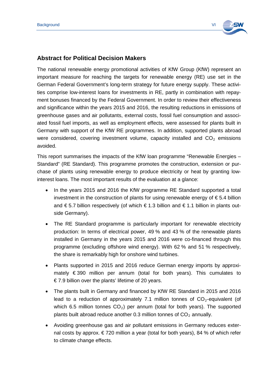

#### <span id="page-5-0"></span>**Abstract for Political Decision Makers**

The national renewable energy promotional activities of KfW Group (KfW) represent an important measure for reaching the targets for renewable energy (RE) use set in the German Federal Government's long-term strategy for future energy supply. These activities comprise low-interest loans for investments in RE, partly in combination with repayment bonuses financed by the Federal Government. In order to review their effectiveness and significance within the years 2015 and 2016, the resulting reductions in emissions of greenhouse gases and air pollutants, external costs, fossil fuel consumption and associated fossil fuel imports, as well as employment effects, were assessed for plants built in Germany with support of the KfW RE programmes. In addition, supported plants abroad were considered, covering investment volume, capacity installed and  $CO<sub>2</sub>$  emissions avoided.

This report summarises the impacts of the KfW loan programme "Renewable Energies – Standard" (RE Standard). This programme promotes the construction, extension or purchase of plants using renewable energy to produce electricity or heat by granting lowinterest loans. The most important results of the evaluation at a glance:

- In the years 2015 and 2016 the KfW programme RE Standard supported a total investment in the construction of plants for using renewable energy of  $\epsilon$  5.4 billion and  $\epsilon$  5.7 billion respectively (of which  $\epsilon$  1.3 billion and  $\epsilon$  1.1 billion in plants outside Germany).
- The RE Standard programme is particularly important for renewable electricity production: In terms of electrical power, 49 % and 43 % of the renewable plants installed in Germany in the years 2015 and 2016 were co-financed through this programme (excluding offshore wind energy). With 62 % and 51 % respectively, the share is remarkably high for onshore wind turbines.
- Plants supported in 2015 and 2016 reduce German energy imports by approximately € 390 million per annum (total for both years). This cumulates to  $\epsilon$  7.9 billion over the plants' lifetime of 20 years.
- The plants built in Germany and financed by KfW RE Standard in 2015 and 2016 lead to a reduction of approximately 7.1 million tonnes of  $CO<sub>2</sub>$ -equivalent (of which 6.5 million tonnes  $CO<sub>2</sub>$ ) per annum (total for both years). The supported plants built abroad reduce another 0.3 million tonnes of  $CO<sub>2</sub>$  annually.
- Avoiding greenhouse gas and air pollutant emissions in Germany reduces external costs by approx.  $\epsilon$  720 million a year (total for both years), 84 % of which refer to climate change effects.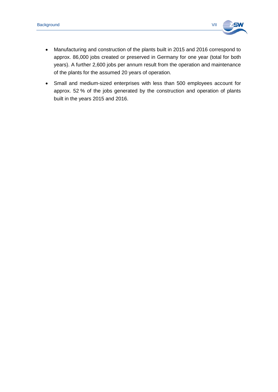

- Manufacturing and construction of the plants built in 2015 and 2016 correspond to approx. 86,000 jobs created or preserved in Germany for one year (total for both years). A further 2,600 jobs per annum result from the operation and maintenance of the plants for the assumed 20 years of operation.
- Small and medium-sized enterprises with less than 500 employees account for approx. 52 % of the jobs generated by the construction and operation of plants built in the years 2015 and 2016.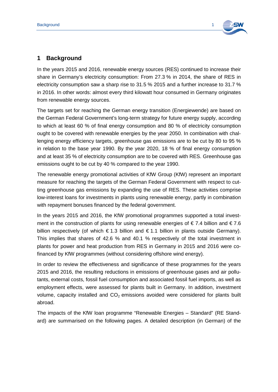

## <span id="page-7-0"></span>**1 Background**

In the years 2015 and 2016, renewable energy sources (RES) continued to increase their share in Germany's electricity consumption: From 27.3 % in 2014, the share of RES in electricity consumption saw a sharp rise to 31.5 % 2015 and a further increase to 31.7 % in 2016. In other words: almost every third kilowatt hour consumed in Germany originates from renewable energy sources.

The targets set for reaching the German energy transition (Energiewende) are based on the German Federal Government's long-term strategy for future energy supply, according to which at least 60 % of final energy consumption and 80 % of electricity consumption ought to be covered with renewable energies by the year 2050. In combination with challenging energy efficiency targets, greenhouse gas emissions are to be cut by 80 to 95 % in relation to the base year 1990. By the year 2020, 18 % of final energy consumption and at least 35 % of electricity consumption are to be covered with RES. Greenhouse gas emissions ought to be cut by 40 % compared to the year 1990.

The renewable energy promotional activities of KfW Group (KfW) represent an important measure for reaching the targets of the German Federal Government with respect to cutting greenhouse gas emissions by expanding the use of RES. These activities comprise low-interest loans for investments in plants using renewable energy, partly in combination with repayment bonuses financed by the federal government.

In the years 2015 and 2016, the KfW promotional programmes supported a total investment in the construction of plants for using renewable energies of  $\epsilon$  7.4 billion and  $\epsilon$  7.6 billion respectively (of which  $\epsilon$  1.3 billion and  $\epsilon$  1.1 billion in plants outside Germany). This implies that shares of 42.6 % and 40.1 % respectively of the total investment in plants for power and heat production from RES in Germany in 2015 and 2016 were cofinanced by KfW programmes (without considering offshore wind energy).

In order to review the effectiveness and significance of these programmes for the years 2015 and 2016, the resulting reductions in emissions of greenhouse gases and air pollutants, external costs, fossil fuel consumption and associated fossil fuel imports, as well as employment effects, were assessed for plants built in Germany. In addition, investment volume, capacity installed and  $CO<sub>2</sub>$  emissions avoided were considered for plants built abroad.

The impacts of the KfW loan programme "Renewable Energies – Standard" (RE Standard) are summarised on the following pages. A detailed description (in German) of the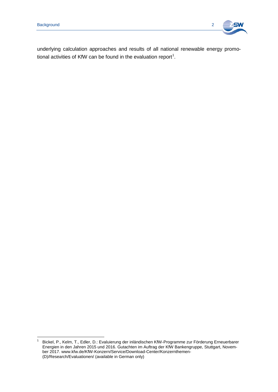

underlying calculation approaches and results of all national renewable energy promo-tional activities of KfW can be found in the evaluation report<sup>[1](#page-8-0)</sup>.

<span id="page-8-0"></span><sup>1</sup> Bickel, P., Kelm, T., Edler, D.: Evaluierung der inländischen KfW-Programme zur Förderung Erneuerbarer Energien in den Jahren 2015 und 2016. Gutachten im Auftrag der KfW Bankengruppe, Stuttgart, November 2017. www.kfw.de/KfW-Konzern/Service/Download-Center/Konzernthemen- (D)/Research/Evaluationen/ (available in German only)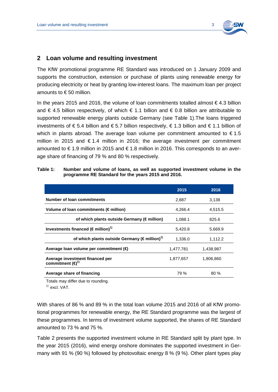

# <span id="page-9-0"></span>**2 Loan volume and resulting investment**

The KfW promotional programme RE Standard was introduced on 1 January 2009 and supports the construction, extension or purchase of plants using renewable energy for producing electricity or heat by granting low-interest loans. The maximum loan per project amounts to € 50 million.

In the years 2015 and 2016, the volume of loan commitments totalled almost  $\epsilon$  4.3 billion and  $\epsilon$  4.5 billion respectively, of which  $\epsilon$  1.1 billion and  $\epsilon$  0.8 billion are attributable to supported renewable energy plants outside Germany (see [Table 1\)](#page-9-1).The loans triggered investments of € 5.4 billion and € 5.7 billion respectively, € 1.3 billion and € 1.1 billion of which in plants abroad. The average loan volume per commitment amounted to  $\epsilon$ 1.5 million in 2015 and €1.4 million in 2016; the average investment per commitment amounted to € 1.9 million in 2015 and € 1.8 million in 2016. This corresponds to an average share of financing of 79 % and 80 % respectively.

|                                                                         | 2015      | 2016      |
|-------------------------------------------------------------------------|-----------|-----------|
| Number of loan commitments                                              | 2,887     | 3,138     |
| Volume of loan commitments ( $\notin$ million)                          | 4.266.4   | 4,515.5   |
| of which plants outside Germany ( $\notin$ million)                     | 1,088.1   | 825.6     |
| Investments financed ( $\in$ million) <sup>1)</sup>                     | 5,420.8   | 5,669.9   |
| of which plants outside Germany ( $\notin$ million) <sup>1)</sup>       | 1.336.0   | 1,112.2   |
| Average loan volume per commitment ( $\bigoplus$                        | 1,477,781 | 1,438,987 |
| Average investment financed per<br>commitment $(\boldsymbol{\Theta}^1)$ | 1,877,657 | 1,806,860 |
| Average share of financing                                              | 79 %      | 80%       |

<span id="page-9-1"></span>**Table 1: Number and volume of loans, as well as supported investment volume in the programme RE Standard for the years 2015 and 2016.**

Totals may differ due to rounding.

 $<sup>1</sup>$  excl. VAT.</sup>

With shares of 86 % and 89 % in the total loan volume 2015 and 2016 of all KfW promotional programmes for renewable energy, the RE Standard programme was the largest of these programmes. In terms of investment volume supported, the shares of RE Standard amounted to 73 % and 75 %.

[Table 2](#page-10-0) presents the supported investment volume in RE Standard split by plant type. In the year 2015 (2016), wind energy onshore dominates the supported investment in Germany with 91 % (90 %) followed by photovoltaic energy 8 % (9 %). Other plant types play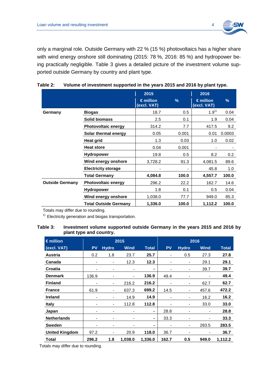

only a marginal role. Outside Germany with 22 % (15 %) photovoltaics has a higher share with wind energy onshore still dominating (2015: 78 %, 2016: 85 %) and hydropower being practically negligible. [Table 3](#page-10-1) gives a detailed picture of the investment volume supported outside Germany by country and plant type.

|                        |                              | 2015<br>$\epsilon$ million<br>(excl. VAT) | %     | 2016<br>$\epsilon$ million<br>(excl. VAT) | $\frac{9}{6}$ |
|------------------------|------------------------------|-------------------------------------------|-------|-------------------------------------------|---------------|
| Germany                | <b>Biogas</b>                | 18.7                                      | 0.5   | $1.9^{1}$                                 | 0.04          |
|                        | <b>Solid biomass</b>         | 2.5                                       | 0.1   | 1.9                                       | 0.04          |
|                        | <b>Photovoltaic energy</b>   | 314.2                                     | 7.7   | 417.5                                     | 9.2           |
|                        | Solar thermal energy         | 0.05                                      | 0.001 | 0.01                                      | 0.0003        |
|                        | Heat grid                    | 1.3                                       | 0.03  | 1.0                                       | 0.02          |
|                        | <b>Heat store</b>            | 0.04                                      | 0.001 |                                           |               |
|                        | <b>Hydropower</b>            | 19.8                                      | 0.5   | 8.2                                       | 0.2           |
|                        | Wind energy onshore          | 3,728.2                                   | 91.3  | 4,081.5                                   | 89.6          |
|                        | <b>Electricity storage</b>   |                                           |       | 45.8                                      | 1.0           |
|                        | <b>Total Germany</b>         | 4,084.8                                   | 100.0 | 4,557.7                                   | 100.0         |
| <b>Outside Germany</b> | <b>Photovoltaic energy</b>   | 296.2                                     | 22.2  | 162.7                                     | 14.6          |
|                        | <b>Hydropower</b>            | 1.8                                       | 0.1   | 0.5                                       | 0.04          |
|                        | Wind energy onshore          | 1,038.0                                   | 77.7  | 949.0                                     | 85.3          |
|                        | <b>Total Outside Germany</b> | 1,336.0                                   | 100.0 | 1,112.2                                   | 100.0         |

<span id="page-10-0"></span>

| Table 2: | Volume of investment supported in the years 2015 and 2016 by plant type. |
|----------|--------------------------------------------------------------------------|
|          |                                                                          |

Totals may differ due to rounding.

 $1)$  Electricity generation and biogas transportation.

#### <span id="page-10-1"></span>**Table 3: Investment volume supported outside Germany in the years 2015 and 2016 by plant type and country.**

| $\epsilon$ million    | 2015      |                          |                          | 2016           |           |              |             |              |
|-----------------------|-----------|--------------------------|--------------------------|----------------|-----------|--------------|-------------|--------------|
| (excl. VAT)           | <b>PV</b> | <b>Hydro</b>             | <b>Wind</b>              | <b>Total</b>   | <b>PV</b> | <b>Hydro</b> | <b>Wind</b> | <b>Total</b> |
| Austria               | 0.2       | 1.8                      | 23.7                     | 25.7           |           | 0.5          | 27.3        | 27.8         |
| Canada                | ٠         |                          | 12.3                     | 12.3           |           | ۰            | 29.1        | 29.1         |
| Croatia               | ۰         |                          | $\overline{\phantom{0}}$ |                |           | ۰            | 39.7        | 39.7         |
| <b>Denmark</b>        | 136.9     |                          | ٠                        | 136.9          | 49.4      |              |             | 49.4         |
| <b>Finland</b>        | ۰         | $\overline{\phantom{a}}$ | 216.2                    | 216.2          |           | -            | 62.7        | 62.7         |
| <b>France</b>         | 61.9      | ۰                        | 637.3                    | 699.2          | 14.5      | -            | 457.6       | 472.2        |
| <b>Ireland</b>        | ۰         | ۰                        | 14.9                     | 14.9           |           | -            | 16.2        | 16.2         |
| <b>Italy</b>          |           | ۰                        | 112.8                    | 112.8          |           | ۰            | 33.0        | 33.0         |
| Japan                 | ٠         |                          |                          | $\blacksquare$ | 28.8      | ٠            | ٠           | 28.8         |
| <b>Netherlands</b>    | ٠         |                          | $\overline{\phantom{0}}$ | $\blacksquare$ | 33.3      | ٠            |             | 33.3         |
| <b>Sweden</b>         | ٠         | $\overline{\phantom{0}}$ | $\blacksquare$           | $\blacksquare$ |           | ۰            | 283.5       | 283.5        |
| <b>United Kingdom</b> | 97.2      |                          | 20.9                     | 118.0          | 36.7      |              |             | 36.7         |
| Total                 | 296.2     | 1.8                      | 1.038.0                  | 1,336.0        | 162.7     | 0.5          | 949.0       | 1,112.2      |

Totals may differ due to rounding.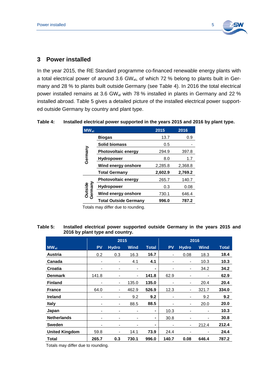

#### <span id="page-11-0"></span>**3 Power installed**

In the year 2015, the RE Standard programme co-financed renewable energy plants with a total electrical power of around 3.6 GW<sub>el</sub>, of which 72 % belong to plants built in Germany and 28 % to plants built outside Germany (see [Table 4\)](#page-11-1). In 2016 the total electrical power installed remains at 3.6 GW $_{el}$  with 78 % installed in plants in Germany and 22 % installed abroad. [Table 5](#page-11-2) gives a detailed picture of the installed electrical power supported outside Germany by country and plant type.

| $MW_{el}$          |                              | 2015    | 2016    |
|--------------------|------------------------------|---------|---------|
|                    | <b>Biogas</b>                | 13.7    | 0.9     |
|                    | <b>Solid biomass</b>         | 0.5     |         |
| Germany            | <b>Photovoltaic energy</b>   | 294.9   | 397.8   |
|                    | <b>Hydropower</b>            | 8.0     | 1.7     |
|                    | Wind energy onshore          | 2,285.8 | 2,368.8 |
|                    | <b>Total Germany</b>         | 2,602.9 | 2,769.2 |
|                    | <b>Photovoltaic energy</b>   | 265.7   | 140.7   |
|                    | <b>Hydropower</b>            | 0.3     | 0.08    |
| Germany<br>Outside | Wind energy onshore          | 730.1   | 646.4   |
|                    | <b>Total Outside Germany</b> | 996.0   | 787.2   |

#### <span id="page-11-1"></span>**Table 4: Installed electrical power supported in the years 2015 and 2016 by plant type.**

Totals may differ due to rounding.

#### <span id="page-11-2"></span>**Table 5: Installed electrical power supported outside Germany in the years 2015 and 2016 by plant type and country.**

|                       | 2015      |                          |                              | 2016           |           |                          |             |              |
|-----------------------|-----------|--------------------------|------------------------------|----------------|-----------|--------------------------|-------------|--------------|
| $MW_{el}$             | <b>PV</b> | <b>Hydro</b>             | <b>Wind</b>                  | <b>Total</b>   | <b>PV</b> | <b>Hydro</b>             | <b>Wind</b> | <b>Total</b> |
| Austria               | 0.2       | 0.3                      | 16.3                         | 16.7           |           | 0.08                     | 18.3        | 18.4         |
| Canada                |           | -                        | 4.1                          | 4.1            |           | ۰                        | 10.3        | 10.3         |
| Croatia               | ۰         | -                        | $\qquad \qquad \blacksquare$ | $\blacksquare$ |           | ۰                        | 34.2        | 34.2         |
| <b>Denmark</b>        | 141.8     |                          | $\qquad \qquad \blacksquare$ | 141.8          | 62.9      |                          |             | 62.9         |
| <b>Finland</b>        | -         | $\overline{\phantom{a}}$ | 135.0                        | 135.0          |           | ۰                        | 20.4        | 20.4         |
| <b>France</b>         | 64.0      | -                        | 462.9                        | 526.9          | 12.3      | $\overline{\phantom{a}}$ | 321.7       | 334.0        |
| <b>Ireland</b>        | -         | -                        | 9.2                          | 9.2            |           | ۰                        | 9.2         | 9.2          |
| <b>Italy</b>          | ۰         | $\overline{\phantom{a}}$ | 88.5                         | 88.5           |           | $\overline{\phantom{a}}$ | 20.0        | 20.0         |
| Japan                 | ٠         | -                        | $\overline{\phantom{0}}$     | $\blacksquare$ | 10.3      | -                        | ۰           | 10.3         |
| <b>Netherlands</b>    | ۰         | ۰                        | $\overline{\phantom{0}}$     | $\blacksquare$ | 30.8      | -                        |             | 30.8         |
| <b>Sweden</b>         | -         | -                        | ٠                            | $\blacksquare$ |           | ۰                        | 212.4       | 212.4        |
| <b>United Kingdom</b> | 59.8      | ٠                        | 14.1                         | 73.9           | 24.4      |                          |             | 24.4         |
| <b>Total</b>          | 265.7     | 0.3                      | 730.1                        | 996.0          | 140.7     | 0.08                     | 646.4       | 787.2        |

Totals may differ due to rounding.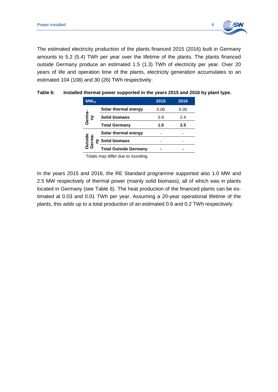

The estimated electricity production of the plants financed 2015 (2016) built in Germany amounts to 5.2 (5.4) TWh per year over the lifetime of the plants. The plants financed outside Germany produce an estimated 1.5 (1.3) TWh of electricity per year. Over 20 years of life and operation time of the plants, electricity generation accumulates to an estimated 104 (108) and 30 (26) TWh respectively.

| $MW_{th}$                |                              | 2015 | 2016    |
|--------------------------|------------------------------|------|---------|
|                          | Solar thermal energy         | 0.06 | 0.05    |
| Germa <del>.</del><br>ny | Solid biomass                | 0.9  | 2.4     |
|                          | <b>Total Germany</b>         | 1.0  | $2.5\,$ |
|                          | Solar thermal energy         |      |         |
| Outside<br>Germa-<br>≽   | <b>Solid biomass</b>         |      |         |
|                          | <b>Total Outside Germany</b> |      |         |

<span id="page-12-0"></span>

| Table 6: | Installed thermal power supported in the years 2015 and 2016 by plant type. |
|----------|-----------------------------------------------------------------------------|
|----------|-----------------------------------------------------------------------------|

Totals may differ due to rounding.

In the years 2015 and 2016, the RE Standard programme supported also 1.0 MW and 2.5 MW respectively of thermal power (mainly solid biomass), all of which was in plants located in Germany (see [Table 6\)](#page-12-0). The heat production of the financed plants can be estimated at 0.03 and 0.01 TWh per year. Assuming a 20-year operational lifetime of the plants, this adds up to a total production of an estimated 0.6 and 0.2 TWh respectively.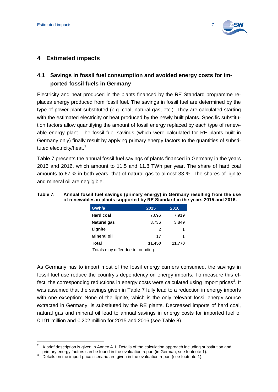

# <span id="page-13-0"></span>**4 Estimated impacts**

# <span id="page-13-1"></span>**4.1 Savings in fossil fuel consumption and avoided energy costs for imported fossil fuels in Germany**

Electricity and heat produced in the plants financed by the RE Standard programme replaces energy produced from fossil fuel. The savings in fossil fuel are determined by the type of power plant substituted (e.g. coal, natural gas, etc.). They are calculated starting with the estimated electricity or heat produced by the newly built plants. Specific substitution factors allow quantifying the amount of fossil energy replaced by each type of renewable energy plant. The fossil fuel savings (which were calculated for RE plants built in Germany only) finally result by applying primary energy factors to the quantities of substi-tuted electricity/heat.<sup>[2](#page-13-3)</sup>

[Table 7](#page-13-2) presents the annual fossil fuel savings of plants financed in Germany in the years 2015 and 2016, which amount to 11.5 and 11.8 TWh per year. The share of hard coal amounts to 67 % in both years, that of natural gas to almost 33 %. The shares of lignite and mineral oil are negligible.

| GWh/a              | 2015   | 2016   |
|--------------------|--------|--------|
| <b>Hard coal</b>   | 7,696  | 7,919  |
| <b>Natural gas</b> | 3,736  | 3,849  |
| Lignite            | 2      |        |
| <b>Mineral oil</b> | 17     |        |
| Total              | 11,450 | 11,770 |

#### <span id="page-13-2"></span>**Table 7: Annual fossil fuel savings (primary energy) in Germany resulting from the use of renewables in plants supported by RE Standard in the years 2015 and 2016.**

Totals may differ due to rounding.

As Germany has to import most of the fossil energy carriers consumed, the savings in fossil fuel use reduce the country's dependency on energy imports. To measure this ef-fect, the corresponding reductions in energy costs were calculated using import prices<sup>[3](#page-13-4)</sup>. It was assumed that the savings given in [Table 7](#page-13-2) fully lead to a reduction in energy imports with one exception: None of the lignite, which is the only relevant fossil energy source extracted in Germany, is substituted by the RE plants. Decreased imports of hard coal, natural gas and mineral oil lead to annual savings in energy costs for imported fuel of € 191 million and  $€202$  million for 2015 and 2016 (see [Table 8\)](#page-14-1).

<span id="page-13-3"></span><sup>&</sup>lt;sup>2</sup> A brief description is given in Annex [A.1.](#page-19-1) Details of the calculation approach including substitution and primary energy factors can be found in the evaluation report (in German; see footnote 1).

<span id="page-13-4"></span>primary energy factors can be found in the evaluation report (in German; see footnote 1). <sup>3</sup> Details on the import price scenario are given in the evaluation report (see footnote 1).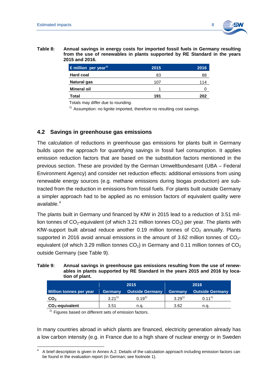

<span id="page-14-1"></span>**Table 8: Annual savings in energy costs for imported fossil fuels in Germany resulting from the use of renewables in plants supported by RE Standard in the years 2015 and 2016.**

| $\epsilon$ million per year <sup>1)</sup> | 2015 | 2016 |
|-------------------------------------------|------|------|
| <b>Hard coal</b>                          | 83   | 88   |
| Natural gas                               | 107  | 114  |
| <b>Mineral oil</b>                        |      |      |
| Total                                     | 191  | 202  |

Totals may differ due to rounding.

 $1)$  Assumption: no lignite imported, therefore no resulting cost savings.

#### <span id="page-14-0"></span>**4.2 Savings in greenhouse gas emissions**

The calculation of reductions in greenhouse gas emissions for plants built in Germany builds upon the approach for quantifying savings in fossil fuel consumption. It applies emission reduction factors that are based on the substitution factors mentioned in the previous section. These are provided by the German Umweltbundesamt (UBA – Federal Environment Agency) and consider net reduction effects: additional emissions from using renewable energy sources (e.g. methane emissions during biogas production) are subtracted from the reduction in emissions from fossil fuels. For plants built outside Germany a simpler approach had to be applied as no emission factors of equivalent quality were available. [4](#page-14-3)

The plants built in Germany und financed by KfW in 2015 lead to a reduction of 3.51 million tonnes of  $CO_2$ -equivalent (of which 3.21 million tonnes  $CO_2$ ) per year. The plants with KfW-support built abroad reduce another 0.19 million tonnes of  $CO<sub>2</sub>$  annually. Plants supported in 2016 avoid annual emissions in the amount of 3.62 million tonnes of  $CO<sub>2</sub>$ equivalent (of which 3.29 million tonnes  $CO<sub>2</sub>$ ) in Germany and 0.11 million tonnes of  $CO<sub>2</sub>$ outside Germany (see [Table 9\)](#page-14-2).

<span id="page-14-2"></span>

| Table 9: | Annual savings in greenhouse gas emissions resulting from the use of renew-  |
|----------|------------------------------------------------------------------------------|
|          | ables in plants supported by RE Standard in the years 2015 and 2016 by loca- |
|          | tion of plant.                                                               |

|                         | 2015           |                        | 2016       |                        |
|-------------------------|----------------|------------------------|------------|------------------------|
| Million tonnes per year | <b>Germany</b> | <b>Outside Germany</b> | Germany    | <b>Outside Germany</b> |
| CO <sub>2</sub>         | $3.21^{1}$     | $0.19^{1}$             | $3.29^{1}$ | $0.11^{1}$             |
| $CO2$ -equivalent       | 3.51           | n.a.                   | 3.62       | n.a.                   |

 $1)$  Figures based on different sets of emission factors.

In many countries abroad in which plants are financed, electricity generation already has a low carbon intensity (e.g. in France due to a high share of nuclear energy or in Sweden

<span id="page-14-3"></span><sup>4</sup> A brief description is given in Annex [A.2.](#page-20-0) Details of the calculation approach including emission factors can be found in the evaluation report (in German; see footnote 1).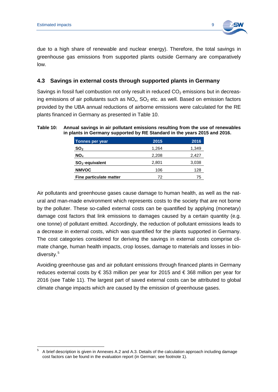

due to a high share of renewable and nuclear energy). Therefore, the total savings in greenhouse gas emissions from supported plants outside Germany are comparatively low.

#### <span id="page-15-0"></span>**4.3 Savings in external costs through supported plants in Germany**

Savings in fossil fuel combustion not only result in reduced  $CO<sub>2</sub>$  emissions but in decreasing emissions of air pollutants such as  $NO<sub>x</sub>$ ,  $SO<sub>2</sub>$  etc. as well. Based on emission factors provided by the UBA annual reductions of airborne emissions were calculated for the RE plants financed in Germany as presented in [Table 10.](#page-15-1)

| Tonnes per year         | 2015  | 2016  |
|-------------------------|-------|-------|
| SO <sub>2</sub>         | 1.264 | 1,349 |
| NO <sub>x</sub>         | 2,208 | 2,427 |
| $SO2$ -equivalent       | 2,801 | 3,038 |
| <b>NMVOC</b>            | 106   | 128   |
| Fine particulate matter | 72    | 75    |

#### <span id="page-15-1"></span>**Table 10: Annual savings in air pollutant emissions resulting from the use of renewables in plants in Germany supported by RE Standard in the years 2015 and 2016.**

Air pollutants and greenhouse gases cause damage to human health, as well as the natural and man-made environment which represents costs to the society that are not borne by the polluter. These so-called external costs can be quantified by applying (monetary) damage cost factors that link emissions to damages caused by a certain quantity (e.g. one tonne) of pollutant emitted. Accordingly, the reduction of pollutant emissions leads to a decrease in external costs, which was quantified for the plants supported in Germany. The cost categories considered for deriving the savings in external costs comprise climate change, human health impacts, crop losses, damage to materials and losses in bio-diversity.<sup>[5](#page-15-2)</sup>

Avoiding greenhouse gas and air pollutant emissions through financed plants in Germany reduces external costs by € 353 million per year for 2015 and € 368 million per year for 2016 (see [Table 11\)](#page-16-1). The largest part of saved external costs can be attributed to global climate change impacts which are caused by the emission of greenhouse gases.

<span id="page-15-2"></span><sup>5</sup> A brief description is given in Annexes [A.2](#page-20-0) and [A.3.](#page-20-1) Details of the calculation approach including damage cost factors can be found in the evaluation report (in German; see footnote 1).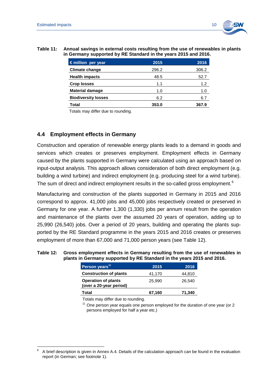

#### <span id="page-16-1"></span>**Table 11: Annual savings in external costs resulting from the use of renewables in plants in Germany supported by RE Standard in the years 2015 and 2016.**

| $\epsilon$ million per year | 2015  | 2016  |
|-----------------------------|-------|-------|
| <b>Climate change</b>       | 296.2 | 306.2 |
| <b>Health impacts</b>       | 48.5  | 52.7  |
| <b>Crop losses</b>          | 1.1   | 1.2   |
| <b>Material damage</b>      | 1.0   | 1.0   |
| <b>Biodiversity losses</b>  | 6.2   | 6.7   |
| <b>Total</b>                | 353.0 | 367.9 |

Totals may differ due to rounding.

#### <span id="page-16-0"></span>**4.4 Employment effects in Germany**

Construction and operation of renewable energy plants leads to a demand in goods and services which creates or preserves employment. Employment effects in Germany caused by the plants supported in Germany were calculated using an approach based on input-output analysis. This approach allows consideration of both direct employment (e.g. building a wind turbine) and indirect employment (e.g. producing steel for a wind turbine). The sum of direct and indirect employment results in the so-called gross employment.<sup>[6](#page-16-3)</sup>

Manufacturing and construction of the plants supported in Germany in 2015 and 2016 correspond to approx. 41,000 jobs and 45,000 jobs respectively created or preserved in Germany for one year. A further 1,300 (1,330) jobs per annum result from the operation and maintenance of the plants over the assumed 20 years of operation, adding up to 25,990 (26,540) jobs. Over a period of 20 years, building and operating the plants supported by the RE Standard programme in the years 2015 and 2016 creates or preserves employment of more than 67,000 and 71,000 person years (see [Table 12\)](#page-16-2).

#### <span id="page-16-2"></span>**Table 12: Gross employment effects in Germany resulting from the use of renewables in plants in Germany supported by RE Standard in the years 2015 and 2016.**

| Person years <sup>1)</sup>                            | 2015   | 2016   |
|-------------------------------------------------------|--------|--------|
| <b>Construction of plants</b>                         | 41,170 | 44,810 |
| <b>Operation of plants</b><br>(over a 20-year period) | 25,990 | 26.540 |
| Total                                                 | 67,160 | 71,340 |

Totals may differ due to rounding.

 $1)$  One person year equals one person employed for the duration of one year (or 2 persons employed for half a year etc.)

<span id="page-16-3"></span><sup>6</sup> A brief description is given in Annex [A.4.](#page-21-0) Details of the calculation approach can be found in the evaluation report (in German; see footnote 1).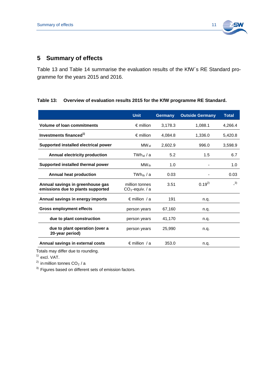

# <span id="page-17-0"></span>**5 Summary of effects**

Table 13 and [Table 14](#page-18-0) summarise the evaluation results of the KfW´s RE Standard programme for the years 2015 and 2016.

#### **Table 13: Overview of evaluation results 2015 for the KfW programme RE Standard.**

|                                                                       | <b>Unit</b>                         | <b>Germany</b> | <b>Outside Germany</b> | <b>Total</b>  |
|-----------------------------------------------------------------------|-------------------------------------|----------------|------------------------|---------------|
| <b>Volume of loan commitments</b>                                     | $\epsilon$ million                  | 3,178.3        | 1,088.1                | 4.266.4       |
| Investments financed <sup>1)</sup>                                    | $\epsilon$ million                  | 4,084.8        | 1,336.0                | 5,420.8       |
| Supported installed electrical power                                  | $\mathsf{MW}_\mathsf{el}$           | 2,602.9        | 996.0                  | 3,598.9       |
| Annual electricity production                                         | $TWh_{el}$ / a                      | 5.2            | 1.5                    | 6.7           |
| Supported installed thermal power                                     | $MW_{th}$                           | 1.0            |                        | 1.0           |
| Annual heat production                                                | $TWh_{th}$ / a                      | 0.03           |                        | 0.03          |
| Annual savings in greenhouse gas<br>emissions due to plants supported | million tonnes<br>$CO2$ -equiv. / a | 3.51           | $0.19^{2}$             | $\frac{3}{2}$ |
| Annual savings in energy imports                                      | $\epsilon$ million / a              | 191            | n.q.                   |               |
| <b>Gross employment effects</b>                                       | person years                        | 67,160         | n.q.                   |               |
| due to plant construction                                             | person years                        | 41,170         | n.q.                   |               |
| due to plant operation (over a<br>20-year period)                     | person years                        | 25,990         | n.g.                   |               |
| Annual savings in external costs                                      | $\epsilon$ million / a              | 353.0          | n.q.                   |               |

Totals may differ due to rounding.

 $<sup>1</sup>$  excl. VAT.</sup>

<sup>2)</sup> in million tonnes  $CO<sub>2</sub>$  / a

<sup>3)</sup> Figures based on different sets of emission factors.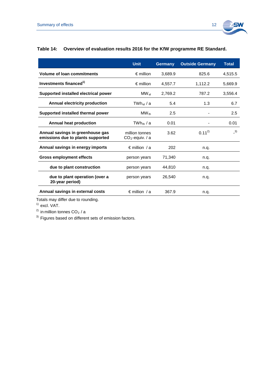

#### <span id="page-18-0"></span>**Table 14: Overview of evaluation results 2016 for the KfW programme RE Standard.**

|                                                                       | <b>Unit</b>                         | <b>Germany</b> | <b>Outside Germany</b> | <b>Total</b> |
|-----------------------------------------------------------------------|-------------------------------------|----------------|------------------------|--------------|
| <b>Volume of loan commitments</b>                                     | $\epsilon$ million                  | 3,689.9        | 825.6                  | 4,515.5      |
| Investments financed <sup>1)</sup>                                    | $\epsilon$ million                  | 4.557.7        | 1.112.2                | 5.669.9      |
| Supported installed electrical power                                  | MW el                               | 2,769.2        | 787.2                  | 3,556.4      |
| Annual electricity production                                         | TWhe⊢/a                             | 5.4            | 1.3                    | 6.7          |
| Supported installed thermal power                                     | $MW_{th}$                           | 2.5            |                        | 2.5          |
| <b>Annual heat production</b>                                         | TWh <sub>th</sub> / а               | 0.01           |                        | 0.01         |
| Annual savings in greenhouse gas<br>emissions due to plants supported | million tonnes<br>$CO2$ -equiv. / a | 3.62           | $0.11^{2}$             | $-3)$        |
| Annual savings in energy imports                                      | $\epsilon$ million / a              | 202            | n.q.                   |              |
| <b>Gross employment effects</b>                                       | person years                        | 71,340         | n.q.                   |              |
| due to plant construction                                             | person years                        | 44,810         | n.q.                   |              |
| due to plant operation (over a<br>20-year period)                     | person years                        | 26,540         | n.g.                   |              |
| Annual savings in external costs                                      | $\epsilon$ million / a              | 367.9          | n.q.                   |              |

Totals may differ due to rounding.

 $<sup>1)</sup>$  excl. VAT.</sup>

 $^{2)}$  in million tonnes CO<sub>2</sub> / a

 $3)$  Figures based on different sets of emission factors.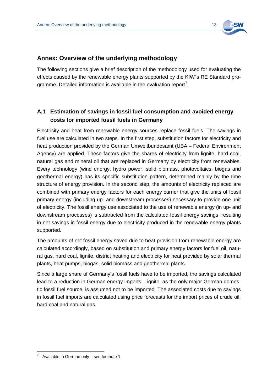

#### <span id="page-19-0"></span>**Annex: Overview of the underlying methodology**

The following sections give a brief description of the methodology used for evaluating the effects caused by the renewable energy plants supported by the KfW´s RE Standard pro-gramme. Detailed information is available in the evaluation report<sup>[7](#page-19-2)</sup>.

# <span id="page-19-1"></span>**A.1 Estimation of savings in fossil fuel consumption and avoided energy costs for imported fossil fuels in Germany**

Electricity and heat from renewable energy sources replace fossil fuels. The savings in fuel use are calculated in two steps. In the first step, substitution factors for electricity and heat production provided by the German Umweltbundesamt (UBA – Federal Environment Agency) are applied. These factors give the shares of electricity from lignite, hard coal, natural gas and mineral oil that are replaced in Germany by electricity from renewables. Every technology (wind energy, hydro power, solid biomass, photovoltaics, biogas and geothermal energy) has its specific substitution pattern, determined mainly by the time structure of energy provision. In the second step, the amounts of electricity replaced are combined with primary energy factors for each energy carrier that give the units of fossil primary energy (including up- and downstream processes) necessary to provide one unit of electricity. The fossil energy use associated to the use of renewable energy (in up- and downstream processes) is subtracted from the calculated fossil energy savings, resulting in net savings in fossil energy due to electricity produced in the renewable energy plants supported.

The amounts of net fossil energy saved due to heat provision from renewable energy are calculated accordingly, based on substitution and primary energy factors for fuel oil, natural gas, hard coal, lignite, district heating and electricity for heat provided by solar thermal plants, heat pumps, biogas, solid biomass and geothermal plants.

Since a large share of Germany's fossil fuels have to be imported, the savings calculated lead to a reduction in German energy imports. Lignite, as the only major German domestic fossil fuel source, is assumed not to be imported. The associated costs due to savings in fossil fuel imports are calculated using price forecasts for the import prices of crude oil, hard coal and natural gas.

<span id="page-19-2"></span>Available in German only – see footnote 1.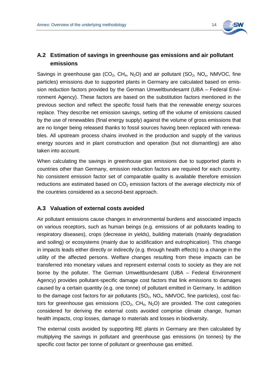

# <span id="page-20-0"></span>**A.2 Estimation of savings in greenhouse gas emissions and air pollutant emissions**

Savings in greenhouse gas (CO<sub>2</sub>, CH<sub>4</sub>, N<sub>2</sub>O) and air pollutant (SO<sub>2</sub>, NO<sub>x</sub>, NMVOC, fine particles) emissions due to supported plants in Germany are calculated based on emission reduction factors provided by the German Umweltbundesamt (UBA – Federal Environment Agency). These factors are based on the substitution factors mentioned in the previous section and reflect the specific fossil fuels that the renewable energy sources replace. They describe net emission savings, setting off the volume of emissions caused by the use of renewables (final energy supply) against the volume of gross emissions that are no longer being released thanks to fossil sources having been replaced with renewables. All upstream process chains involved in the production and supply of the various energy sources and in plant construction and operation (but not dismantling) are also taken into account.

When calculating the savings in greenhouse gas emissions due to supported plants in countries other than Germany, emission reduction factors are required for each country. No consistent emission factor set of comparable quality is available therefore emission reductions are estimated based on  $CO<sub>2</sub>$  emission factors of the average electricity mix of the countries considered as a second-best approach.

### <span id="page-20-1"></span>**A.3 Valuation of external costs avoided**

Air pollutant emissions cause changes in environmental burdens and associated impacts on various receptors, such as human beings (e.g. emissions of air pollutants leading to respiratory diseases), crops (decrease in yields), building materials (mainly degradation and soiling) or ecosystems (mainly due to acidification and eutrophication). This change in impacts leads either directly or indirectly (e.g. through health effects) to a change in the utility of the affected persons. Welfare changes resulting from these impacts can be transferred into monetary values and represent external costs to society as they are not borne by the polluter. The German Umweltbundesamt (UBA – Federal Environment Agency) provides pollutant-specific damage cost factors that link emissions to damages caused by a certain quantity (e.g. one tonne) of pollutant emitted in Germany. In addition to the damage cost factors for air pollutants  $(SO_2, NO_x, NMVOC,$  fine particles), cost factors for greenhouse gas emissions  $(CO_2, CH_4, N_2O)$  are provided. The cost categories considered for deriving the external costs avoided comprise climate change, human health impacts, crop losses, damage to materials and losses in biodiversity.

The external costs avoided by supporting RE plants in Germany are then calculated by multiplying the savings in pollutant and greenhouse gas emissions (in tonnes) by the specific cost factor per tonne of pollutant or greenhouse gas emitted.